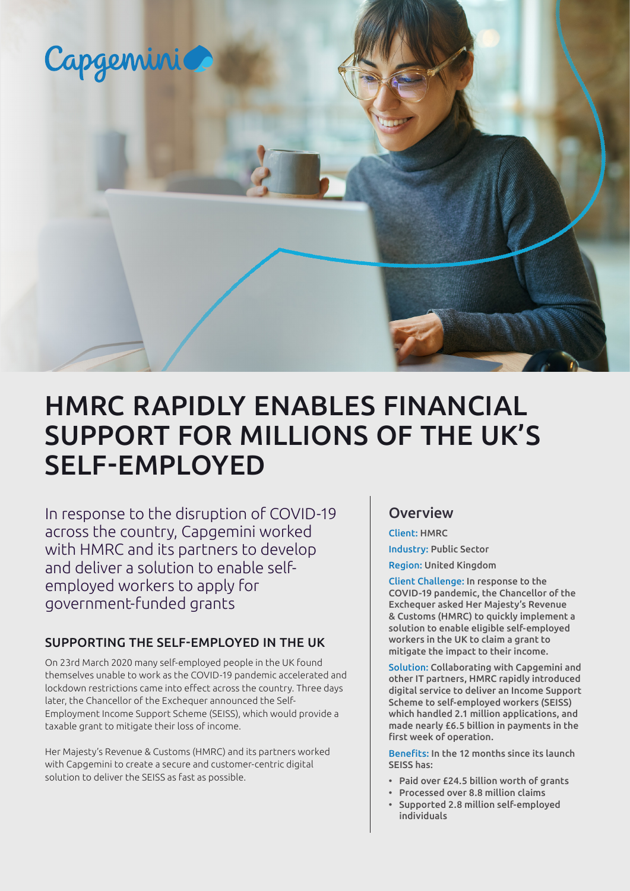

# HMRC RAPIDLY ENABLES FINANCIAL SUPPORT FOR MILLIONS OF THE UK'S SELF-EMPLOYED

In response to the disruption of COVID-19 across the country, Capgemini worked with HMRC and its partners to develop and deliver a solution to enable selfemployed workers to apply for government-funded grants

#### SUPPORTING THE SELF-EMPLOYED IN THE UK

On 23rd March 2020 many self-employed people in the UK found themselves unable to work as the COVID-19 pandemic accelerated and lockdown restrictions came into effect across the country. Three days later, the Chancellor of the Exchequer announced the Self-Employment Income Support Scheme (SEISS), which would provide a taxable grant to mitigate their loss of income.

Her Majesty's Revenue & Customs (HMRC) and its partners worked with Capgemini to create a secure and customer-centric digital solution to deliver the SEISS as fast as possible.

### **Overview**

Client: HMRC

Industry: Public Sector

Region: United Kingdom

Client Challenge: In response to the COVID-19 pandemic, the Chancellor of the Exchequer asked Her Majesty's Revenue & Customs (HMRC) to quickly implement a solution to enable eligible self-employed workers in the UK to claim a grant to mitigate the impact to their income.

Solution: Collaborating with Capgemini and other IT partners, HMRC rapidly introduced digital service to deliver an Income Support Scheme to self-employed workers (SEISS) which handled 2.1 million applications, and made nearly £6.5 billion in payments in the first week of operation.

Benefits: In the 12 months since its launch SEISS has:

- Paid over £24.5 billion worth of grants
- Processed over 8.8 million claims
- Supported 2.8 million self-employed individuals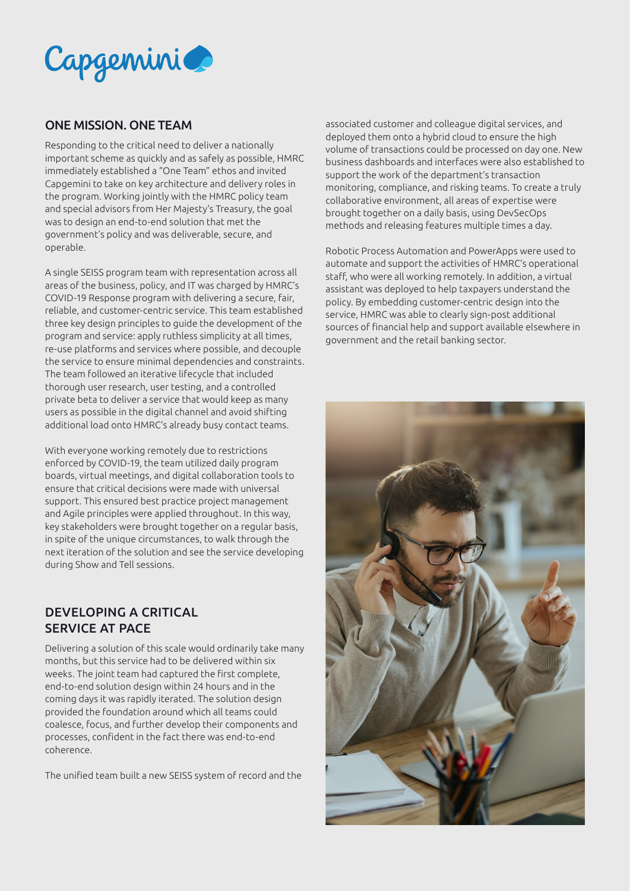

#### ONE MISSION. ONE TEAM

Responding to the critical need to deliver a nationally important scheme as quickly and as safely as possible, HMRC immediately established a "One Team" ethos and invited Capgemini to take on key architecture and delivery roles in the program. Working jointly with the HMRC policy team and special advisors from Her Majesty's Treasury, the goal was to design an end-to-end solution that met the government's policy and was deliverable, secure, and operable.

A single SEISS program team with representation across all areas of the business, policy, and IT was charged by HMRC's COVID-19 Response program with delivering a secure, fair, reliable, and customer-centric service. This team established three key design principles to guide the development of the program and service: apply ruthless simplicity at all times, re-use platforms and services where possible, and decouple the service to ensure minimal dependencies and constraints. The team followed an iterative lifecycle that included thorough user research, user testing, and a controlled private beta to deliver a service that would keep as many users as possible in the digital channel and avoid shifting additional load onto HMRC's already busy contact teams.

With everyone working remotely due to restrictions enforced by COVID-19, the team utilized daily program boards, virtual meetings, and digital collaboration tools to ensure that critical decisions were made with universal support. This ensured best practice project management and Agile principles were applied throughout. In this way, key stakeholders were brought together on a regular basis, in spite of the unique circumstances, to walk through the next iteration of the solution and see the service developing during Show and Tell sessions.

#### DEVELOPING A CRITICAL SERVICE AT PACE

Delivering a solution of this scale would ordinarily take many months, but this service had to be delivered within six weeks. The joint team had captured the first complete, end-to-end solution design within 24 hours and in the coming days it was rapidly iterated. The solution design provided the foundation around which all teams could coalesce, focus, and further develop their components and processes, confident in the fact there was end-to-end coherence.

The unified team built a new SEISS system of record and the

associated customer and colleague digital services, and deployed them onto a hybrid cloud to ensure the high volume of transactions could be processed on day one. New business dashboards and interfaces were also established to support the work of the department's transaction monitoring, compliance, and risking teams. To create a truly collaborative environment, all areas of expertise were brought together on a daily basis, using DevSecOps methods and releasing features multiple times a day.

Robotic Process Automation and PowerApps were used to automate and support the activities of HMRC's operational staff, who were all working remotely. In addition, a virtual assistant was deployed to help taxpayers understand the policy. By embedding customer-centric design into the service, HMRC was able to clearly sign-post additional sources of financial help and support available elsewhere in government and the retail banking sector.